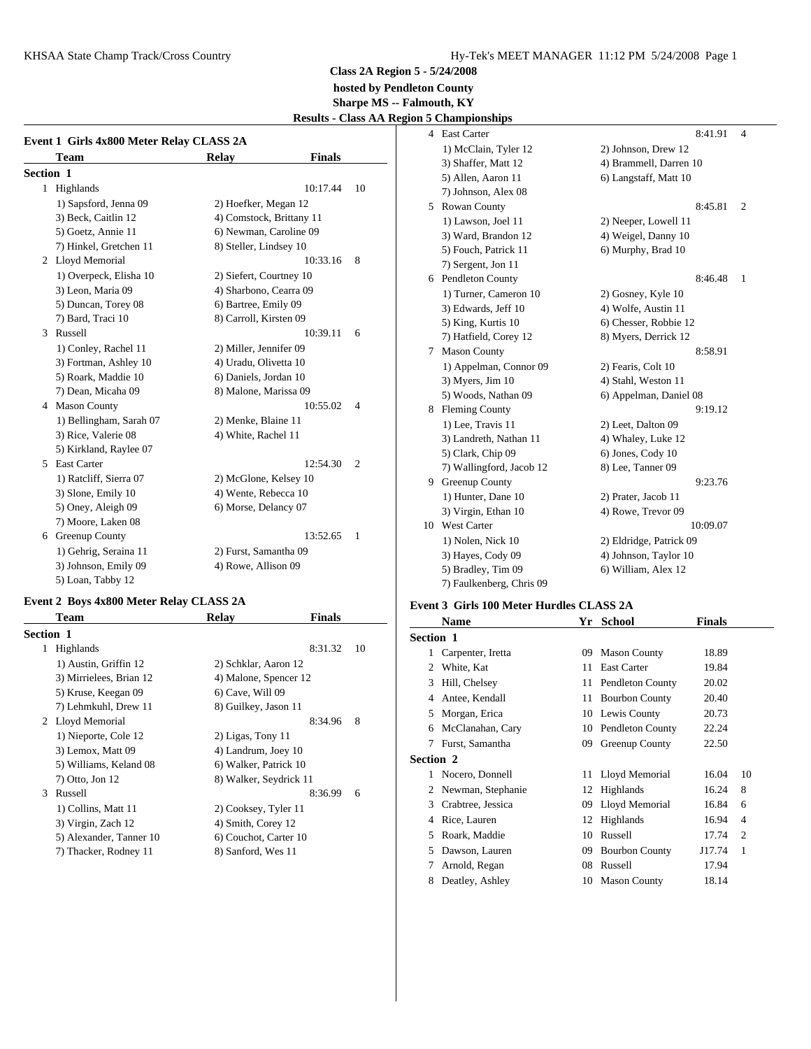KHSAA State Champ Track/Cross Country **Hy-Tek's MEET MANAGER** 11:12 PM 5/24/2008 Page 1

**Class 2A Region 5 - 5/24/2008 hosted by Pendleton County Sharpe MS -- Falmouth, KY**

**Results - Class AA Region 5 Championships**

| Event 1 Girls 4x800 Meter Relay CLASS 2A |                         |                               |                |    |                  |
|------------------------------------------|-------------------------|-------------------------------|----------------|----|------------------|
|                                          | <b>Team</b>             | <b>Finals</b><br><b>Relay</b> |                |    | $1)$ M           |
| <b>Section 1</b>                         |                         |                               |                |    | $3)$ Sha         |
|                                          | 1 Highlands             | 10:17.44                      | 10             |    | 5) All<br>7) Joh |
|                                          | 1) Sapsford, Jenna 09   | 2) Hoefker, Megan 12          |                | 5. | Rowa             |
|                                          | 3) Beck, Caitlin 12     | 4) Comstock, Brittany 11      |                |    | $1)$ La          |
|                                          | 5) Goetz, Annie 11      | 6) Newman, Caroline 09        |                |    | $3)$ Wa          |
|                                          | 7) Hinkel, Gretchen 11  | 8) Steller, Lindsey 10        |                |    | $5)$ For         |
|                                          | 2 Lloyd Memorial        | 10:33.16                      | 8              |    | $7)$ Sei         |
|                                          | 1) Overpeck, Elisha 10  | 2) Siefert, Courtney 10       |                |    | 6 Pendl          |
|                                          | 3) Leon, Maria 09       | 4) Sharbono, Cearra 09        |                |    | $1)$ Tu          |
|                                          | 5) Duncan, Torey 08     | 6) Bartree, Emily 09          |                |    | $3)$ Ed          |
|                                          | 7) Bard, Traci 10       | 8) Carroll, Kirsten 09        |                |    | 5) Kii           |
| 3                                        | Russell                 | 10:39.11                      | 6              |    | 7) Ha            |
|                                          | 1) Conley, Rachel 11    | 2) Miller, Jennifer 09        |                | 7  | Maso             |
|                                          | 3) Fortman, Ashley 10   | 4) Uradu, Olivetta 10         |                |    | $1)$ Ap          |
|                                          | 5) Roark, Maddie 10     | 6) Daniels, Jordan 10         |                |    |                  |
|                                          | 7) Dean, Micaha 09      | 8) Malone, Marissa 09         |                |    | 3) My<br>$5)$ Wo |
|                                          | 4 Mason County          | 10:55.02                      | $\overline{4}$ | 8  | Flemi            |
|                                          | 1) Bellingham, Sarah 07 | 2) Menke, Blaine 11           |                |    | $1)$ Le          |
|                                          | 3) Rice, Valerie 08     | 4) White, Rachel 11           |                |    | $3)$ Lar         |
|                                          | 5) Kirkland, Raylee 07  |                               |                |    | $5)$ Cla         |
|                                          | 5 East Carter           | 12:54.30                      | $\overline{2}$ |    | $7)$ Wa          |
|                                          | 1) Ratcliff, Sierra 07  | 2) McGlone, Kelsey 10         |                | 9  | Green            |
|                                          | 3) Slone, Emily 10      | 4) Wente, Rebecca 10          |                |    | $1)$ Hu          |
|                                          | 5) Oney, Aleigh 09      | 6) Morse, Delancy 07          |                |    | 3) Vii           |
|                                          | 7) Moore, Laken 08      |                               |                |    | 10 West          |
|                                          | 6 Greenup County        | 13:52.65                      | 1              |    | $1)$ No          |
|                                          | 1) Gehrig, Seraina 11   | 2) Furst, Samantha 09         |                |    | 3) Ha            |
|                                          | 3) Johnson, Emily 09    | 4) Rowe, Allison 09           |                |    | 5) Bra           |
|                                          | 5) Loan, Tabby 12       |                               |                |    | 7) Fai           |

# **Event 2 Boys 4x800 Meter Relay CLASS 2A**

|                  | Team                    | Relay                  | <b>Finals</b> |    |                  | <b>Nam</b> |
|------------------|-------------------------|------------------------|---------------|----|------------------|------------|
| <b>Section 1</b> |                         |                        |               |    | <b>Section 1</b> |            |
| 1                | Highlands               |                        | 8:31.32       | 10 |                  | Carpe      |
|                  | 1) Austin, Griffin 12   | 2) Schklar, Aaron 12   |               |    | $\mathfrak{D}$   | White      |
|                  | 3) Mirrielees, Brian 12 | 4) Malone, Spencer 12  |               |    | 3                | Hill, 0    |
|                  | 5) Kruse, Keegan 09     | 6) Cave, Will 09       |               |    | 4                | Antee      |
|                  | 7) Lehmkuhl, Drew 11    | 8) Guilkey, Jason 11   |               |    | 5                | Morg       |
|                  | 2 Lloyd Memorial        |                        | 8:34.96       | 8  | 6                | McCl       |
|                  | 1) Nieporte, Cole 12    | 2) Ligas, Tony 11      |               |    |                  |            |
|                  | 3) Lemox, Matt 09       | 4) Landrum, Joey 10    |               |    | 7                | Furst,     |
|                  | 5) Williams, Keland 08  | 6) Walker, Patrick 10  |               |    | <b>Section 2</b> |            |
|                  | 7) Otto, Jon 12         | 8) Walker, Seydrick 11 |               |    | 1.               | Nocer      |
| $\mathcal{R}$    | Russell                 |                        | 8:36.99       | 6  |                  | Newn       |
|                  | 1) Collins, Matt 11     | 2) Cooksey, Tyler 11   |               |    | 3                | Crabt      |
|                  | 3) Virgin, Zach 12      | 4) Smith, Corey 12     |               |    | 4                | Rice,      |
|                  | 5) Alexander, Tanner 10 | 6) Couchot, Carter 10  |               |    | 5                | Roark      |
|                  | 7) Thacker, Rodney 11   | 8) Sanford, Wes 11     |               |    |                  | Daws       |

|    | 4 East Carter            | 8:41.91<br>$\overline{4}$ |  |
|----|--------------------------|---------------------------|--|
|    | 1) McClain, Tyler 12     | 2) Johnson, Drew 12       |  |
|    | 3) Shaffer, Matt 12      | 4) Brammell, Darren 10    |  |
|    | 5) Allen, Aaron 11       | 6) Langstaff, Matt 10     |  |
|    | 7) Johnson, Alex 08      |                           |  |
|    | 5 Rowan County           | 8:45.81<br>$\overline{2}$ |  |
|    | 1) Lawson, Joel 11       | 2) Neeper, Lowell 11      |  |
|    | 3) Ward, Brandon 12      | 4) Weigel, Danny 10       |  |
|    | 5) Fouch, Patrick 11     | 6) Murphy, Brad 10        |  |
|    | 7) Sergent, Jon 11       |                           |  |
| 6  | Pendleton County         | 8:46.48<br>1              |  |
|    | 1) Turner, Cameron 10    | 2) Gosney, Kyle 10        |  |
|    | 3) Edwards, Jeff 10      | 4) Wolfe, Austin 11       |  |
|    | 5) King, Kurtis 10       | 6) Chesser, Robbie 12     |  |
|    | 7) Hatfield, Corey 12    | 8) Myers, Derrick 12      |  |
| 7  | <b>Mason County</b>      | 8:58.91                   |  |
|    | 1) Appelman, Connor 09   | 2) Fearis, Colt 10        |  |
|    | 3) Myers, Jim 10         | 4) Stahl, Weston 11       |  |
|    | 5) Woods, Nathan 09      | 6) Appelman, Daniel 08    |  |
|    | 8 Fleming County         | 9:19.12                   |  |
|    | 1) Lee, Travis 11        | 2) Leet, Dalton 09        |  |
|    | 3) Landreth, Nathan 11   | 4) Whaley, Luke 12        |  |
|    | 5) Clark, Chip 09        | 6) Jones, Cody 10         |  |
|    | 7) Wallingford, Jacob 12 | 8) Lee, Tanner 09         |  |
|    | 9 Greenup County         | 9:23.76                   |  |
|    | 1) Hunter, Dane 10       | 2) Prater, Jacob 11       |  |
|    | 3) Virgin, Ethan 10      | 4) Rowe, Trevor 09        |  |
| 10 | <b>West Carter</b>       | 10:09.07                  |  |
|    | 1) Nolen, Nick 10        | 2) Eldridge, Patrick 09   |  |
|    | 3) Hayes, Cody 09        | 4) Johnson, Taylor 10     |  |
|    | 5) Bradley, Tim 09       | 6) William, Alex 12       |  |
|    | 7) Faulkenberg, Chris 09 |                           |  |

# **Event 3 Girls 100 Meter Hurdles CLASS 2A**

|                  | Name              | Yr | <b>School</b>           | Finals |                |
|------------------|-------------------|----|-------------------------|--------|----------------|
| <b>Section 1</b> |                   |    |                         |        |                |
|                  | Carpenter, Iretta | 09 | <b>Mason County</b>     | 18.89  |                |
| 2                | White, Kat        | 11 | <b>East Carter</b>      | 19.84  |                |
| 3                | Hill, Chelsey     | 11 | Pendleton County        | 20.02  |                |
| 4                | Antee, Kendall    | 11 | <b>Bourbon County</b>   | 20.40  |                |
| 5                | Morgan, Erica     | 10 | Lewis County            | 20.73  |                |
| 6                | McClanahan, Cary  | 10 | <b>Pendleton County</b> | 22.24  |                |
| 7                | Furst, Samantha   | 09 | Greenup County          | 22.50  |                |
| Section 2        |                   |    |                         |        |                |
| 1.               | Nocero, Donnell   |    | 11 Lloyd Memorial       | 16.04  | 10             |
| 2                | Newman, Stephanie |    | 12 Highlands            | 16.24  | 8              |
| 3                | Crabtree, Jessica | 09 | Lloyd Memorial          | 16.84  | 6              |
| 4                | Rice, Lauren      |    | 12 Highlands            | 16.94  | $\overline{4}$ |
| 5                | Roark, Maddie     | 10 | Russell                 | 17.74  | $\overline{c}$ |
| 5                | Dawson, Lauren    | 09 | <b>Bourbon County</b>   | J17.74 | 1              |
| 7                | Arnold, Regan     | 08 | Russell                 | 17.94  |                |
| 8                | Deatley, Ashley   | 10 | <b>Mason County</b>     | 18.14  |                |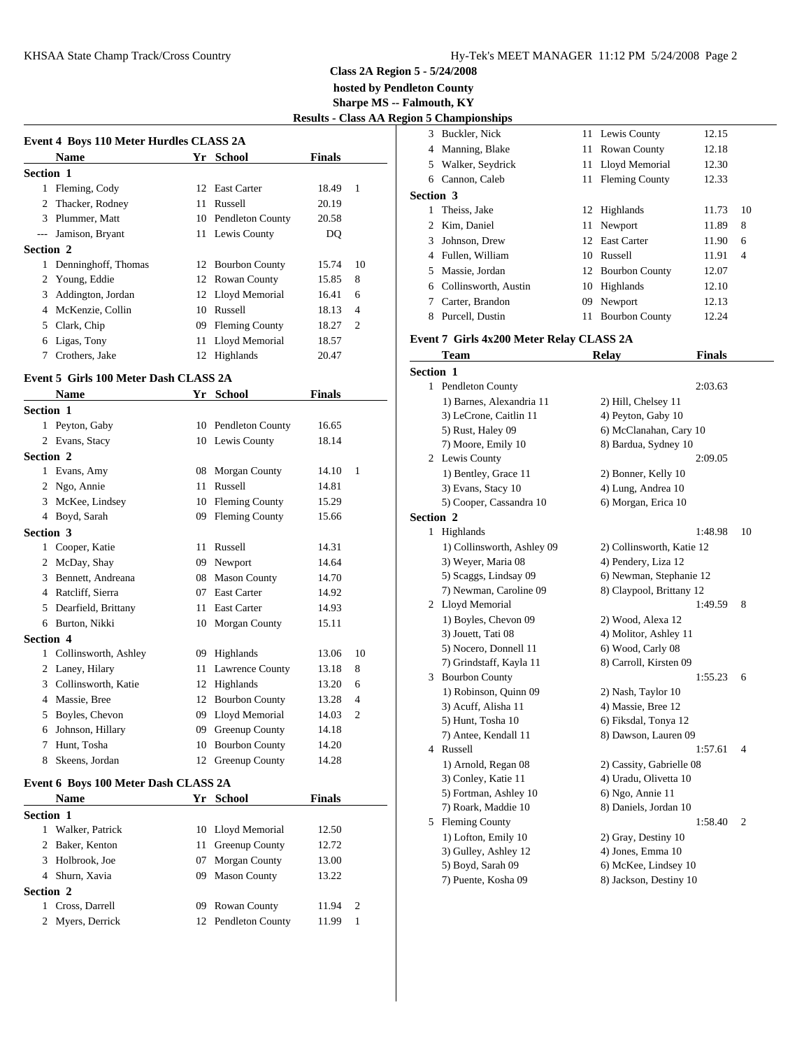**hosted by Pendleton County**

**Sharpe MS -- Falmouth, KY**

|  | <b>Results - Class AA Region 5 Championships</b> |  |
|--|--------------------------------------------------|--|
|  |                                                  |  |

| Event 4 Boys 110 Meter Hurdles CLASS 2A | 3 Buckler, N          |    |                       |               |                |                             |
|-----------------------------------------|-----------------------|----|-----------------------|---------------|----------------|-----------------------------|
|                                         | <b>Name</b>           |    | Yr School             | <b>Finals</b> |                | 4 Manning, l                |
| <b>Section 1</b>                        |                       |    |                       |               |                | 5 Walker, Se<br>6 Cannon, C |
|                                         | 1 Fleming, Cody       |    | 12 East Carter        | 18.49         | $\overline{1}$ | Section 3                   |
|                                         | 2 Thacker, Rodney     |    | 11 Russell            | 20.19         |                | 1 Theiss, Jak               |
|                                         | 3 Plummer, Matt       |    | 10 Pendleton County   | 20.58         |                | 2 Kim, Dani                 |
|                                         | --- Jamison, Bryant   |    | 11 Lewis County       | DQ            |                | 3 Johnson, D                |
| <b>Section 2</b>                        |                       |    |                       |               |                | 4 Fullen, Wi                |
|                                         | 1 Denninghoff, Thomas |    | 12 Bourbon County     | 15.74         | 10             | 5 Massie, Jo                |
|                                         | 2 Young, Eddie        |    | 12 Rowan County       | 15.85         | 8              | 6 Collinswor                |
| 3                                       | Addington, Jordan     |    | 12 Lloyd Memorial     | 16.41         | 6              | 7 Carter, Bra               |
|                                         | 4 McKenzie, Collin    | 10 | Russell               | 18.13         | $\overline{4}$ | Purcell, Du<br>8.           |
|                                         | 5 Clark, Chip         | 09 | <b>Fleming County</b> | 18.27         | $\overline{2}$ |                             |
|                                         | 6 Ligas, Tony         | 11 | Lloyd Memorial        | 18.57         |                | <b>Event 7 Girls 4</b>      |
| 7                                       | Crothers, Jake        |    | 12 Highlands          | 20.47         |                | <b>Team</b>                 |

# **Event 5 Girls 100 Meter Dash CLASS 2A**

|                  | <b>Name</b>          | Yr | <b>School</b>          | <b>Finals</b> |                |                  |                     |
|------------------|----------------------|----|------------------------|---------------|----------------|------------------|---------------------|
| <b>Section 1</b> |                      |    |                        |               |                |                  | $1)$ Ba<br>$3)$ Let |
|                  | 1 Peyton, Gaby       |    | 10 Pendleton County    | 16.65         |                |                  | 5) Ru               |
|                  | 2 Evans, Stacy       |    | 10 Lewis County        | 18.14         |                |                  | $7)$ Mc             |
| <b>Section 2</b> |                      |    |                        |               |                |                  | 2 Lewis             |
|                  | 1 Evans, Amy         |    | 08 Morgan County       | 14.10         | -1             |                  | $1)$ Be             |
|                  | 2 Ngo, Annie         | 11 | Russell                | 14.81         |                |                  | $3)$ Ev             |
|                  | 3 McKee, Lindsey     |    | 10 Fleming County      | 15.29         |                |                  | 5) Co               |
|                  | 4 Boyd, Sarah        |    | 09 Fleming County      | 15.66         |                | <b>Section 2</b> |                     |
| <b>Section 3</b> |                      |    |                        |               |                | 1                | Highl               |
|                  | Cooper, Katie        | 11 | Russell                | 14.31         |                |                  | $1)$ Co             |
|                  | 2 McDay, Shay        | 09 | Newport                | 14.64         |                |                  | $3)$ We             |
| 3                | Bennett, Andreana    | 08 | <b>Mason County</b>    | 14.70         |                |                  | $5)$ Sca            |
| 4                | Ratcliff, Sierra     | 07 | <b>East Carter</b>     | 14.92         |                |                  | 7) Ne               |
| 5                | Dearfield, Brittany  | 11 | <b>East Carter</b>     | 14.93         |                |                  | Lloyd               |
| 6                | Burton, Nikki        |    | 10 Morgan County       | 15.11         |                |                  | $1)$ Bo             |
| <b>Section 4</b> |                      |    |                        |               |                |                  | $3)$ Jou            |
|                  | Collinsworth, Ashley |    | 09 Highlands           | 13.06         | 10             |                  | 5) No               |
|                  | 2 Laney, Hilary      | 11 | <b>Lawrence County</b> | 13.18         | 8              | 3                | 7) Gri              |
| 3                | Collinsworth, Katie  |    | 12 Highlands           | 13.20         | 6              |                  | Bourb               |
| 4                | Massie, Bree         |    | 12 Bourbon County      | 13.28         | $\overline{4}$ |                  | $1)$ Ro<br>$3)$ Ac  |
| 5                | Boyles, Chevon       |    | 09 Lloyd Memorial      | 14.03         | $\overline{2}$ |                  | 5) Hu               |
| 6                | Johnson, Hillary     |    | 09 Greenup County      | 14.18         |                |                  | 7) An               |
| 7                | Hunt, Tosha          |    | 10 Bourbon County      | 14.20         |                |                  | Russe               |
| 8                | Skeens, Jordan       |    | 12 Greenup County      | 14.28         |                |                  | 1) Ar               |
|                  |                      |    |                        |               |                |                  |                     |

### **Event 6 Boys 100 Meter Dash CLASS 2A**

|                  | <b>Name</b>      |    | Yr School           | <b>Finals</b> |               | 5) F             |
|------------------|------------------|----|---------------------|---------------|---------------|------------------|
| <b>Section 1</b> |                  |    |                     |               |               | 7) R             |
|                  | Walker, Patrick  |    | 10 Lloyd Memorial   | 12.50         |               | 5 Flen<br>$1)$ L |
|                  | 2 Baker, Kenton  | 11 | Greenup County      | 12.72         |               | $3)$ G           |
|                  | 3 Holbrook, Joe  | 07 | Morgan County       | 13.00         |               | $5)$ B           |
|                  | 4 Shurn, Xavia   | 09 | <b>Mason County</b> | 13.22         |               | $7)P_1$          |
| <b>Section 2</b> |                  |    |                     |               |               |                  |
|                  | 1 Cross, Darrell | 09 | Rowan County        | 11.94         | $\mathcal{D}$ |                  |
|                  | 2 Myers, Derrick |    | 12 Pendleton County | 11.99         |               |                  |
|                  |                  |    |                     |               |               |                  |

|                  | $\frac{1}{2}$          |    |                   |       |                |
|------------------|------------------------|----|-------------------|-------|----------------|
|                  | 3 Buckler, Nick        |    | 11 Lewis County   | 12.15 |                |
|                  | 4 Manning, Blake       |    | 11 Rowan County   | 12.18 |                |
|                  | 5 Walker, Seydrick     |    | 11 Lloyd Memorial | 12.30 |                |
| 6                | Cannon, Caleb          |    | 11 Fleming County | 12.33 |                |
| <b>Section 3</b> |                        |    |                   |       |                |
|                  | 1 Theiss, Jake         |    | 12 Highlands      | 11.73 | 10             |
|                  | 2 Kim, Daniel          |    | 11 Newport        | 11.89 | 8              |
| 3                | Johnson, Drew          |    | 12 East Carter    | 11.90 | 6              |
|                  | 4 Fullen, William      |    | 10 Russell        | 11.91 | $\overline{4}$ |
|                  | 5 Massie, Jordan       |    | 12 Bourbon County | 12.07 |                |
|                  | 6 Collinsworth, Austin | 10 | Highlands         | 12.10 |                |
|                  | Carter, Brandon        | 09 | Newport           | 12.13 |                |
| 8                | Purcell, Dustin        |    | 11 Bourbon County | 12.24 |                |

# **Event 7 Girls 4x200 Meter Relay CLASS 2A**

| <b>Team</b>                | <b>Relay</b>              | <b>Finals</b> |                |
|----------------------------|---------------------------|---------------|----------------|
| <b>Section 1</b>           |                           |               |                |
| 1 Pendleton County         |                           | 2:03.63       |                |
| 1) Barnes, Alexandria 11   | 2) Hill, Chelsey 11       |               |                |
| 3) LeCrone, Caitlin 11     | 4) Peyton, Gaby 10        |               |                |
| 5) Rust, Haley 09          | 6) McClanahan, Cary 10    |               |                |
| 7) Moore, Emily 10         | 8) Bardua, Sydney 10      |               |                |
| 2 Lewis County             |                           | 2:09.05       |                |
| 1) Bentley, Grace 11       | 2) Bonner, Kelly 10       |               |                |
| 3) Evans, Stacy 10         | 4) Lung, Andrea 10        |               |                |
| 5) Cooper, Cassandra 10    | 6) Morgan, Erica 10       |               |                |
| <b>Section 2</b>           |                           |               |                |
| 1 Highlands                |                           | 1:48.98       | 10             |
| 1) Collinsworth, Ashley 09 | 2) Collinsworth, Katie 12 |               |                |
| 3) Weyer, Maria 08         | 4) Pendery, Liza 12       |               |                |
| 5) Scaggs, Lindsay 09      | 6) Newman, Stephanie 12   |               |                |
| 7) Newman, Caroline 09     | 8) Claypool, Brittany 12  |               |                |
| 2 Lloyd Memorial           |                           | 1:49.59       | 8              |
| 1) Boyles, Chevon 09       | 2) Wood, Alexa 12         |               |                |
| 3) Jouett, Tati 08         | 4) Molitor, Ashley 11     |               |                |
| 5) Nocero, Donnell 11      | 6) Wood, Carly 08         |               |                |
| 7) Grindstaff, Kayla 11    | 8) Carroll, Kirsten 09    |               |                |
| 3 Bourbon County           |                           | 1:55.23       | 6              |
| 1) Robinson, Quinn 09      | 2) Nash, Taylor 10        |               |                |
| 3) Acuff, Alisha 11        | 4) Massie, Bree 12        |               |                |
| 5) Hunt, Tosha 10          | 6) Fiksdal, Tonya 12      |               |                |
| 7) Antee, Kendall 11       | 8) Dawson, Lauren 09      |               |                |
| 4 Russell                  |                           | 1:57.61       | $\overline{4}$ |
| 1) Arnold, Regan 08        | 2) Cassity, Gabrielle 08  |               |                |
| 3) Conley, Katie 11        | 4) Uradu, Olivetta 10     |               |                |
| 5) Fortman, Ashley 10      | 6) Ngo, Annie 11          |               |                |
| 7) Roark, Maddie 10        | 8) Daniels, Jordan 10     |               |                |
| 5 Fleming County           |                           | 1:58.40       | $\overline{2}$ |
| 1) Lofton, Emily 10        | 2) Gray, Destiny 10       |               |                |
| 3) Gulley, Ashley 12       | 4) Jones, Emma 10         |               |                |
| 5) Boyd, Sarah 09          | 6) McKee, Lindsey 10      |               |                |
| 7) Puente, Kosha 09        | 8) Jackson, Destiny 10    |               |                |
|                            |                           |               |                |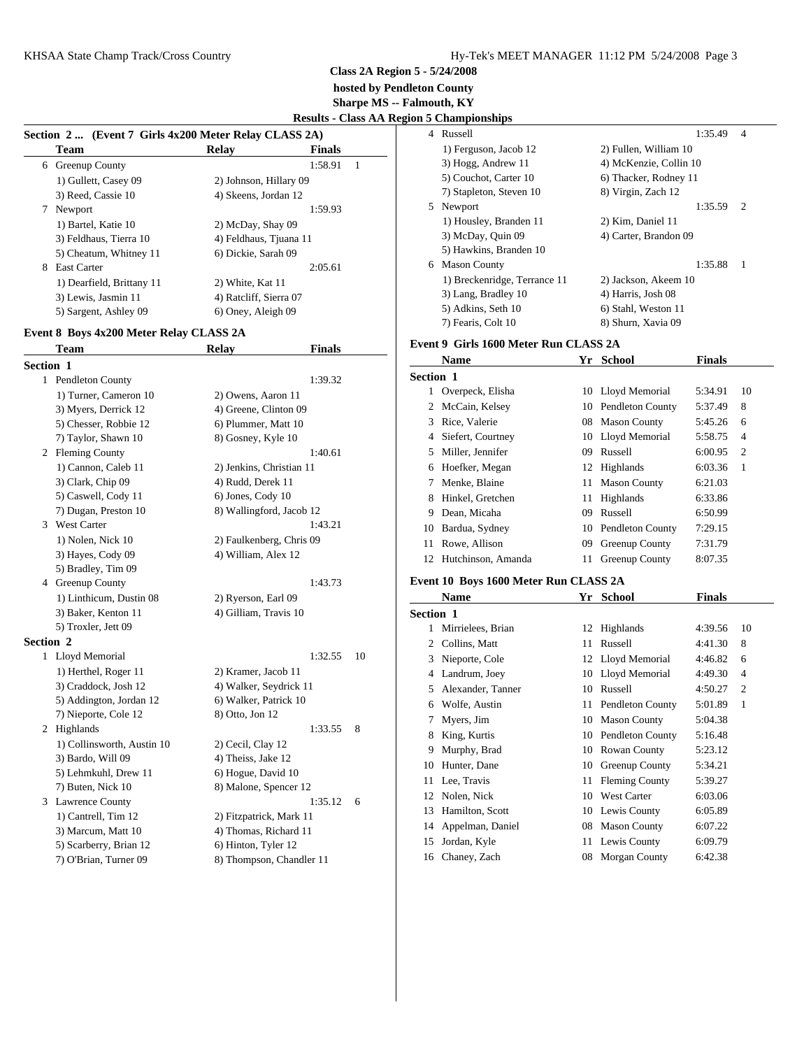**hosted by Pendleton County**

**Sharpe MS -- Falmouth, KY**

**Results - Class AA Region 5 Championships**

|  | Section 2  (Event 7 Girls 4x200 Meter Relay CLASS 2A) |
|--|-------------------------------------------------------|
|  |                                                       |

| <b>Team</b>               | <b>Relay</b>           | <b>Finals</b> | 1) F     |
|---------------------------|------------------------|---------------|----------|
| 6 Greenup County          |                        | 1:58.91<br>-1 | $3)$ H   |
| 1) Gullett, Casey 09      | 2) Johnson, Hillary 09 |               | $5)$ C   |
| 3) Reed, Cassie 10        | 4) Skeens, Jordan 12   |               | $7)$ St  |
| Newport<br>7              |                        | 1:59.93       | 5 New    |
| 1) Bartel, Katie 10       | 2) McDay, Shay 09      |               | $1)$ H   |
| 3) Feldhaus, Tierra 10    | 4) Feldhaus, Tjuana 11 |               | 3) N     |
| 5) Cheatum, Whitney 11    | 6) Dickie, Sarah 09    |               | 5) H     |
| <b>East Carter</b><br>8   |                        | 2:05.61       | Mas<br>6 |
| 1) Dearfield, Brittany 11 | 2) White, Kat 11       |               | $1)$ B   |
| 3) Lewis, Jasmin 11       | 4) Ratcliff, Sierra 07 |               | $3)$ L   |
| 5) Sargent, Ashley 09     | 6) Oney, Aleigh 09     |               | 5) A     |

#### **Event 8 Boys 4x200 Meter Relay CLASS 2A**

|                  | Team                       | <b>Relay</b>             | <b>Finals</b> |    |           | елеш у сп  |
|------------------|----------------------------|--------------------------|---------------|----|-----------|------------|
| <b>Section 1</b> |                            |                          |               |    |           | <b>Nam</b> |
|                  | 1 Pendleton County         |                          | 1:39.32       |    | Section 1 |            |
|                  | 1) Turner, Cameron 10      | 2) Owens, Aaron 11       |               |    |           | 1 Overp    |
|                  | 3) Myers, Derrick 12       | 4) Greene, Clinton 09    |               |    | 2         | McCa       |
|                  | 5) Chesser, Robbie 12      | 6) Plummer, Matt 10      |               |    | 3         | Rice,      |
|                  | 7) Taylor, Shawn 10        | 8) Gosney, Kyle 10       |               |    | 4         | Siefer     |
|                  | 2 Fleming County           |                          | 1:40.61       |    | 5         | Miller     |
|                  | 1) Cannon, Caleb 11        | 2) Jenkins, Christian 11 |               |    | 6         | Hoefk      |
|                  | 3) Clark, Chip 09          | 4) Rudd, Derek 11        |               |    | 7         | Menk       |
|                  | 5) Caswell, Cody 11        | 6) Jones, Cody 10        |               |    | 8         | Hinke      |
|                  | 7) Dugan, Preston 10       | 8) Wallingford, Jacob 12 |               |    | 9         | Dean,      |
|                  | 3 West Carter              |                          | 1:43.21       |    | 10        | Bardu      |
|                  | 1) Nolen, Nick 10          | 2) Faulkenberg, Chris 09 |               |    | 11        | Rowe       |
|                  | 3) Hayes, Cody 09          | 4) William, Alex 12      |               |    | 12        | Hutch      |
|                  | 5) Bradley, Tim 09         |                          |               |    |           |            |
|                  | 4 Greenup County           |                          | 1:43.73       |    |           | Event 10 B |
|                  | 1) Linthicum, Dustin 08    | 2) Ryerson, Earl 09      |               |    |           | Nam        |
|                  | 3) Baker, Kenton 11        | 4) Gilliam, Travis 10    |               |    | Section 1 |            |
|                  | 5) Troxler, Jett 09        |                          |               |    | 1         | Mirrio     |
| <b>Section 2</b> |                            |                          |               |    | 2         | Collir     |
|                  | 1 Lloyd Memorial           |                          | 1:32.55       | 10 | 3         | Niepo      |
|                  | 1) Herthel, Roger 11       | 2) Kramer, Jacob 11      |               |    | 4         | Landr      |
|                  | 3) Craddock, Josh 12       | 4) Walker, Seydrick 11   |               |    | 5         | Alexa      |
|                  | 5) Addington, Jordan 12    | 6) Walker, Patrick 10    |               |    | 6         | Wolfe      |
|                  | 7) Nieporte, Cole 12       | 8) Otto, Jon 12          |               |    | 7         | Myer:      |
|                  | 2 Highlands                |                          | 1:33.55       | 8  | 8         | King,      |
|                  | 1) Collinsworth, Austin 10 | 2) Cecil, Clay 12        |               |    | 9         | Murp       |
|                  | 3) Bardo, Will 09          | 4) Theiss, Jake 12       |               |    | 10        | Hunte      |
|                  | 5) Lehmkuhl, Drew 11       | 6) Hogue, David 10       |               |    | 11        |            |
|                  | 7) Buten, Nick 10          | 8) Malone, Spencer 12    |               |    |           | Lee, 7     |
|                  | 3 Lawrence County          |                          | 1:35.12       | 6  | 12        | Nolen      |
|                  | 1) Cantrell, Tim 12        | 2) Fitzpatrick, Mark 11  |               |    | 13        | Hami       |
|                  | 3) Marcum, Matt 10         | 4) Thomas, Richard 11    |               |    | 14        | Appel      |
|                  | 5) Scarberry, Brian 12     | 6) Hinton, Tyler 12      |               |    | 15        | Jorda      |
|                  | 7) O'Brian, Turner 09      | 8) Thompson, Chandler 11 |               |    | 16        | Chane      |

|   | . Спатропотро                |                        |                |
|---|------------------------------|------------------------|----------------|
| 4 | Russell                      | 1:35.49                | $\overline{4}$ |
|   | 1) Ferguson, Jacob 12        | 2) Fullen, William 10  |                |
|   | 3) Hogg, Andrew 11           | 4) McKenzie, Collin 10 |                |
|   | 5) Couchot, Carter 10        | 6) Thacker, Rodney 11  |                |
|   | 7) Stapleton, Steven 10      | 8) Virgin, Zach 12     |                |
| 5 | Newport                      | 1:35.59                | 2              |
|   | 1) Housley, Branden 11       | 2) Kim, Daniel 11      |                |
|   | 3) McDay, Quin 09            | 4) Carter, Brandon 09  |                |
|   | 5) Hawkins, Branden 10       |                        |                |
| 6 | <b>Mason County</b>          | 1:35.88                | -1             |
|   | 1) Breckenridge, Terrance 11 | 2) Jackson, Akeem 10   |                |
|   | 3) Lang, Bradley 10          | 4) Harris, Josh 08     |                |
|   | 5) Adkins, Seth 10           | 6) Stahl, Weston 11    |                |
|   | 7) Fearis, Colt 10           | 8) Shurn, Xavia 09     |                |
|   |                              |                        |                |

# **Event 9 Girls 1600 Meter Run CLASS 2A**

|                  | <b>Name</b>        | Yr | <b>School</b>           | <b>Finals</b> |                |
|------------------|--------------------|----|-------------------------|---------------|----------------|
| <b>Section 1</b> |                    |    |                         |               |                |
|                  | Overpeck, Elisha   |    | 10 Lloyd Memorial       | 5:34.91       | 10             |
|                  | 2 McCain, Kelsey   |    | 10 Pendleton County     | 5:37.49       | 8              |
| 3                | Rice, Valerie      | 08 | <b>Mason County</b>     | 5:45.26       | 6              |
| 4                | Siefert, Courtney  | 10 | Lloyd Memorial          | 5:58.75       | $\overline{4}$ |
| 5.               | Miller, Jennifer   | 09 | Russell                 | 6:00.95       | $\overline{2}$ |
| 6                | Hoefker, Megan     |    | 12 Highlands            | 6:03.36       | 1              |
|                  | Menke, Blaine      |    | 11 Mason County         | 6:21.03       |                |
| 8                | Hinkel, Gretchen   |    | 11 Highlands            | 6:33.86       |                |
| 9                | Dean, Micaha       | 09 | Russell                 | 6:50.99       |                |
| 10               | Bardua, Sydney     | 10 | <b>Pendleton County</b> | 7:29.15       |                |
| 11               | Rowe, Allison      | 09 | Greenup County          | 7:31.79       |                |
| 12               | Hutchinson, Amanda | 11 | Greenup County          | 8:07.35       |                |

#### **Event 10 Boys 1600 Meter Run CLASS 2A**

|                  | Name              | Yr | <b>School</b>           | Finals  |                |
|------------------|-------------------|----|-------------------------|---------|----------------|
| <b>Section 1</b> |                   |    |                         |         |                |
|                  | Mirrielees, Brian |    | 12 Highlands            | 4:39.56 | 10             |
| 2                | Collins, Matt     | 11 | Russell                 | 4:41.30 | 8              |
| 3                | Nieporte, Cole    |    | 12 Lloyd Memorial       | 4:46.82 | 6              |
| 4                | Landrum, Joey     | 10 | Lloyd Memorial          | 4:49.30 | 4              |
| 5                | Alexander, Tanner | 10 | Russell                 | 4:50.27 | $\overline{2}$ |
| 6                | Wolfe, Austin     |    | 11 Pendleton County     | 5:01.89 | $\mathbf{1}$   |
| 7                | Myers, Jim        | 10 | <b>Mason County</b>     | 5:04.38 |                |
| 8                | King, Kurtis      | 10 | <b>Pendleton County</b> | 5:16.48 |                |
| 9                | Murphy, Brad      | 10 | <b>Rowan County</b>     | 5:23.12 |                |
| 10               | Hunter, Dane      | 10 | Greenup County          | 5:34.21 |                |
| 11               | Lee, Travis       | 11 | <b>Fleming County</b>   | 5:39.27 |                |
| 12               | Nolen, Nick       | 10 | <b>West Carter</b>      | 6:03.06 |                |
| 13               | Hamilton, Scott   | 10 | Lewis County            | 6:05.89 |                |
| 14               | Appelman, Daniel  | 08 | <b>Mason County</b>     | 6:07.22 |                |
| 15               | Jordan, Kyle      | 11 | Lewis County            | 6:09.79 |                |
| 16               | Chaney, Zach      | 08 | <b>Morgan County</b>    | 6:42.38 |                |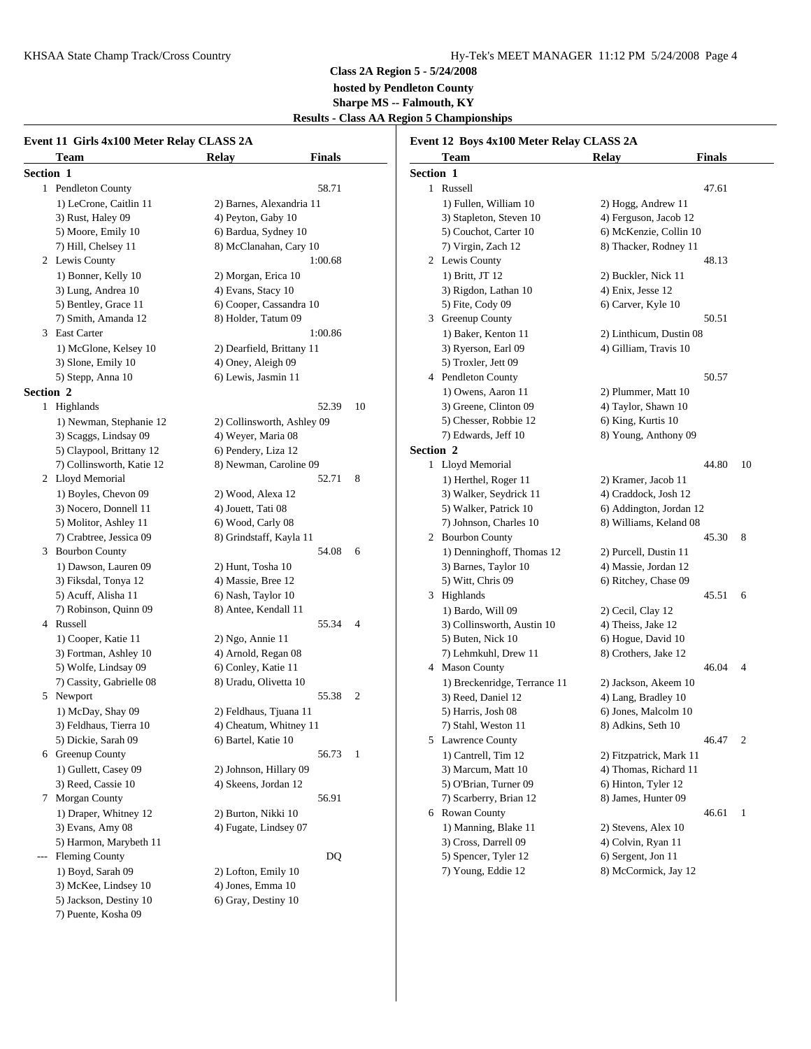# **Class 2A Region 5 - 5/24/2008 hosted by Pendleton County Sharpe MS -- Falmouth, KY Results - Class AA Region 5 Championships**

| Event 11 Girls 4x100 Meter Relay CLASS 2A |                            | Event 12 Boys 4x100 Meter Relay CLASS 2A     |                         |                |
|-------------------------------------------|----------------------------|----------------------------------------------|-------------------------|----------------|
| Team                                      | <b>Finals</b><br>Relay     | <b>Team</b>                                  | <b>Finals</b><br>Relay  |                |
| Section 1                                 |                            | Section 1                                    |                         |                |
| 1 Pendleton County                        | 58.71                      | 1 Russell                                    | 47.61                   |                |
| 1) LeCrone, Caitlin 11                    | 2) Barnes, Alexandria 11   | 1) Fullen, William 10                        | 2) Hogg, Andrew 11      |                |
| 3) Rust, Haley 09                         | 4) Peyton, Gaby 10         | 3) Stapleton, Steven 10                      | 4) Ferguson, Jacob 12   |                |
| 5) Moore, Emily 10                        | 6) Bardua, Sydney 10       | 5) Couchot, Carter 10                        | 6) McKenzie, Collin 10  |                |
| 7) Hill, Chelsey 11                       | 8) McClanahan, Cary 10     | 7) Virgin, Zach 12                           | 8) Thacker, Rodney 11   |                |
| 2 Lewis County                            | 1:00.68                    | 2 Lewis County                               | 48.13                   |                |
| 1) Bonner, Kelly 10                       | 2) Morgan, Erica 10        | 1) Britt, JT 12                              | 2) Buckler, Nick 11     |                |
| 3) Lung, Andrea 10                        | 4) Evans, Stacy 10         | 3) Rigdon, Lathan 10                         | 4) Enix, Jesse 12       |                |
| 5) Bentley, Grace 11                      | 6) Cooper, Cassandra 10    | 5) Fite, Cody 09                             | 6) Carver, Kyle 10      |                |
| 7) Smith, Amanda 12                       | 8) Holder, Tatum 09        | 3 Greenup County                             | 50.51                   |                |
| 3 East Carter                             | 1:00.86                    |                                              |                         |                |
|                                           |                            | 1) Baker, Kenton 11                          | 2) Linthicum, Dustin 08 |                |
| 1) McGlone, Kelsey 10                     | 2) Dearfield, Brittany 11  | 3) Ryerson, Earl 09                          | 4) Gilliam, Travis 10   |                |
| 3) Slone, Emily 10                        | 4) Oney, Aleigh 09         | 5) Troxler, Jett 09                          |                         |                |
| 5) Stepp, Anna 10                         | 6) Lewis, Jasmin 11        | 4 Pendleton County                           | 50.57                   |                |
| Section 2                                 |                            | 1) Owens, Aaron 11                           | 2) Plummer, Matt 10     |                |
| 1 Highlands                               | 52.39<br>10                | 3) Greene, Clinton 09                        | 4) Taylor, Shawn 10     |                |
| 1) Newman, Stephanie 12                   | 2) Collinsworth, Ashley 09 | 5) Chesser, Robbie 12                        | 6) King, Kurtis 10      |                |
| 3) Scaggs, Lindsay 09                     | 4) Weyer, Maria 08         | 7) Edwards, Jeff 10                          | 8) Young, Anthony 09    |                |
| 5) Claypool, Brittany 12                  | 6) Pendery, Liza 12        | Section 2                                    |                         |                |
| 7) Collinsworth, Katie 12                 | 8) Newman, Caroline 09     | 1 Lloyd Memorial                             | 44.80                   | 10             |
| 2 Lloyd Memorial                          | 52.71<br>8                 | 1) Herthel, Roger 11                         | 2) Kramer, Jacob 11     |                |
| 1) Boyles, Chevon 09                      | 2) Wood, Alexa 12          | 3) Walker, Seydrick 11                       | 4) Craddock, Josh 12    |                |
| 3) Nocero, Donnell 11                     | 4) Jouett, Tati 08         | 5) Walker, Patrick 10                        | 6) Addington, Jordan 12 |                |
| 5) Molitor, Ashley 11                     | 6) Wood, Carly 08          | 7) Johnson, Charles 10                       | 8) Williams, Keland 08  |                |
| 7) Crabtree, Jessica 09                   | 8) Grindstaff, Kayla 11    | 2 Bourbon County                             | 45.30                   | $_{8}$         |
| 3 Bourbon County                          | 54.08<br>6                 | 1) Denninghoff, Thomas 12                    | 2) Purcell, Dustin 11   |                |
| 1) Dawson, Lauren 09                      | 2) Hunt, Tosha 10          | 3) Barnes, Taylor 10                         | 4) Massie, Jordan 12    |                |
| 3) Fiksdal, Tonya 12                      | 4) Massie, Bree 12         | 5) Witt, Chris 09                            | 6) Ritchey, Chase 09    |                |
| 5) Acuff, Alisha 11                       | 6) Nash, Taylor 10         | 3 Highlands                                  |                         | 45.51 6        |
| 7) Robinson, Quinn 09                     | 8) Antee, Kendall 11       | 1) Bardo, Will 09                            | 2) Cecil, Clay 12       |                |
| 4 Russell                                 | 55.34<br>$\overline{4}$    | 3) Collinsworth, Austin 10                   | 4) Theiss, Jake 12      |                |
| 1) Cooper, Katie 11                       | 2) Ngo, Annie 11           | 5) Buten, Nick 10                            | 6) Hogue, David 10      |                |
| 3) Fortman, Ashley 10                     | 4) Arnold, Regan 08        | 7) Lehmkuhl, Drew 11                         | 8) Crothers, Jake 12    |                |
| 5) Wolfe, Lindsay 09                      | 6) Conley, Katie 11        | 4 Mason County                               | 46.04                   | $\overline{4}$ |
| 7) Cassity, Gabrielle 08                  | 8) Uradu, Olivetta 10      | 1) Breckenridge, Terrance 11                 | 2) Jackson, Akeem 10    |                |
| 5 Newport                                 | 55.38<br>$\overline{c}$    | 3) Reed, Daniel 12                           | 4) Lang, Bradley 10     |                |
| 1) McDay, Shay 09                         | 2) Feldhaus, Tjuana 11     | 5) Harris, Josh 08                           | 6) Jones, Malcolm 10    |                |
| 3) Feldhaus, Tierra 10                    | 4) Cheatum, Whitney 11     | 7) Stahl, Weston 11                          | 8) Adkins, Seth 10      |                |
| 5) Dickie, Sarah 09                       | 6) Bartel, Katie 10        | 5 Lawrence County                            |                         | 46.47 2        |
| 6 Greenup County                          | 56.73 1                    | 1) Cantrell, Tim 12                          | 2) Fitzpatrick, Mark 11 |                |
| 1) Gullett, Casey 09                      | 2) Johnson, Hillary 09     | 3) Marcum, Matt 10                           | 4) Thomas, Richard 11   |                |
| 3) Reed, Cassie 10                        | 4) Skeens, Jordan 12       | 5) O'Brian, Turner 09                        | 6) Hinton, Tyler 12     |                |
| 7 Morgan County                           | 56.91                      | 7) Scarberry, Brian 12                       | 8) James, Hunter 09     |                |
| 1) Draper, Whitney 12                     | 2) Burton, Nikki 10        | 6 Rowan County                               |                         | 46.61 1        |
| 3) Evans, Amy 08                          | 4) Fugate, Lindsey 07      | 1) Manning, Blake 11                         | 2) Stevens, Alex 10     |                |
|                                           |                            |                                              |                         |                |
| 5) Harmon, Marybeth 11                    | DQ                         | 3) Cross, Darrell 09<br>5) Spencer, Tyler 12 | 4) Colvin, Ryan 11      |                |
| --- Fleming County                        |                            |                                              | 6) Sergent, Jon 11      |                |
| 1) Boyd, Sarah 09                         | 2) Lofton, Emily 10        | 7) Young, Eddie 12                           | 8) McCormick, Jay 12    |                |
| 3) McKee, Lindsey 10                      | 4) Jones, Emma 10          |                                              |                         |                |
| 5) Jackson, Destiny 10                    | 6) Gray, Destiny 10        |                                              |                         |                |
| 7) Puente, Kosha 09                       |                            |                                              |                         |                |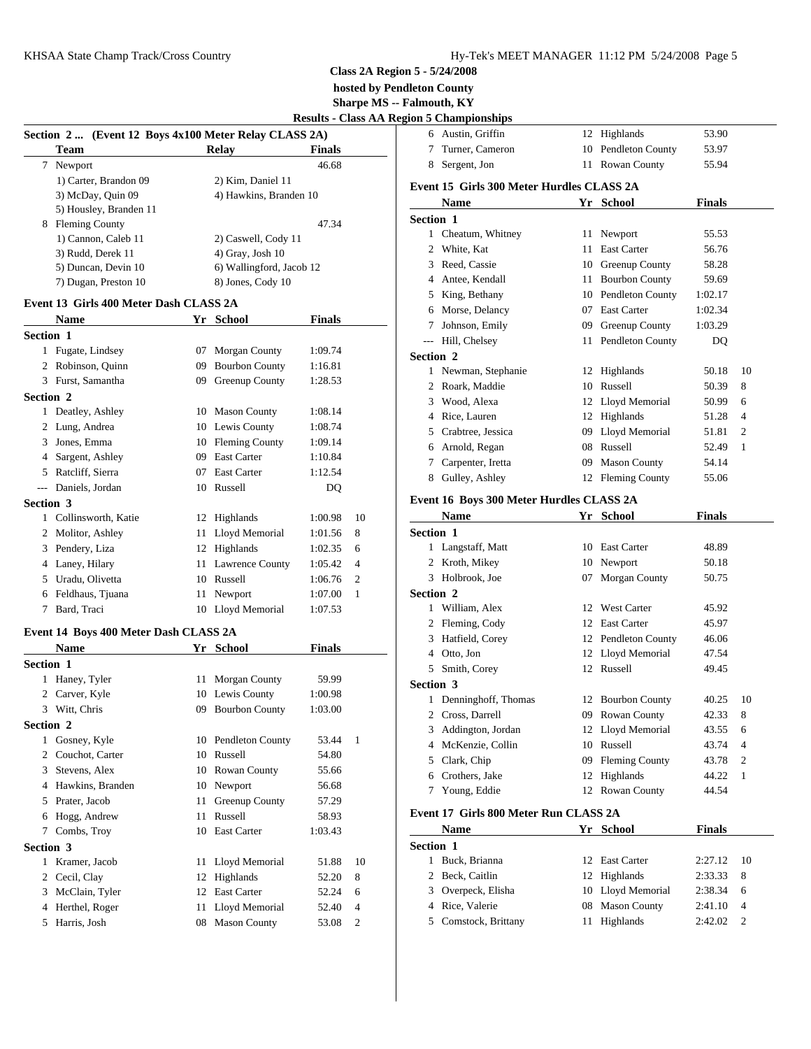**hosted by Pendleton County**

**Sharpe MS -- Falmouth, KY**

| <b>Results - Class AA Region 5 Championships</b> |  |
|--------------------------------------------------|--|
|--------------------------------------------------|--|

|                  |                                                       |                                                  |               |    | <b>Results - Class AA Region 5 Champion</b> |                               |
|------------------|-------------------------------------------------------|--------------------------------------------------|---------------|----|---------------------------------------------|-------------------------------|
|                  | Section 2  (Event 12 Boys 4x100 Meter Relay CLASS 2A) |                                                  |               |    |                                             | 6 Austin, Gr                  |
|                  | Team                                                  | <b>Relay</b>                                     | <b>Finals</b> |    | 7                                           | Turner, Ca                    |
|                  | 7 Newport                                             |                                                  | 46.68         |    | 8                                           | Sergent, Jo                   |
|                  | 1) Carter, Brandon 09                                 | 2) Kim, Daniel 11                                |               |    |                                             | Event 15 Girls                |
|                  | 3) McDay, Quin 09                                     | 4) Hawkins, Branden 10                           |               |    |                                             | <b>Name</b>                   |
|                  | 5) Housley, Branden 11                                |                                                  |               |    | Section 1                                   |                               |
|                  | 8 Fleming County                                      |                                                  | 47.34         |    |                                             | 1 Cheatum,                    |
|                  | 1) Cannon, Caleb 11<br>3) Rudd, Derek 11              | 2) Caswell, Cody 11                              |               |    |                                             | 2 White, Kat                  |
|                  | 5) Duncan, Devin 10                                   | $4)$ Gray, Josh $10$<br>6) Wallingford, Jacob 12 |               |    |                                             | 3 Reed, Cass                  |
|                  | 7) Dugan, Preston 10                                  | 8) Jones, Cody 10                                |               |    |                                             | 4 Antee, Kei                  |
|                  |                                                       |                                                  |               |    |                                             | 5 King, Beth                  |
|                  | Event 13 Girls 400 Meter Dash CLASS 2A                |                                                  |               |    | 6                                           | Morse, De                     |
|                  | <b>Name</b>                                           | Yr School                                        | <b>Finals</b> |    | 7                                           | Johnson, E                    |
| <b>Section 1</b> |                                                       |                                                  |               |    | $\overline{a}$                              | Hill, Chels                   |
|                  | 1 Fugate, Lindsey                                     | 07 Morgan County                                 | 1:09.74       |    | Section 2                                   |                               |
|                  | 2 Robinson, Quinn                                     | 09 Bourbon County                                | 1:16.81       |    |                                             | 1 Newman, 3                   |
|                  | 3 Furst, Samantha                                     | 09 Greenup County                                | 1:28.53       |    |                                             | 2 Roark, Ma                   |
| <b>Section 2</b> |                                                       |                                                  |               |    |                                             | 3 Wood, Ale                   |
|                  | 1 Deatley, Ashley                                     | 10 Mason County                                  | 1:08.14       |    |                                             | 4 Rice, Laur                  |
|                  | 2 Lung, Andrea                                        | 10 Lewis County                                  | 1:08.74       |    | 5                                           | Crabtree, J                   |
|                  | 3 Jones, Emma                                         | 10 Fleming County                                | 1:09.14       |    |                                             | 6 Arnold, Re                  |
|                  | 4 Sargent, Ashley                                     | 09 East Carter                                   | 1:10.84       |    |                                             | 7 Carpenter,                  |
|                  | 5 Ratcliff, Sierra                                    | 07 East Carter                                   | 1:12.54       |    | 8                                           | Gulley, As                    |
|                  | --- Daniels, Jordan                                   | 10 Russell                                       | DQ            |    |                                             |                               |
| Section 3        |                                                       |                                                  |               |    |                                             | Event 16 Boys                 |
|                  | 1 Collinsworth, Katie                                 | 12 Highlands                                     | 1:00.98       | 10 |                                             | <b>Name</b>                   |
|                  | 2 Molitor, Ashley                                     | 11 Lloyd Memorial                                | 1:01.56       | 8  | Section 1                                   |                               |
|                  | 3 Pendery, Liza                                       | 12 Highlands                                     | 1:02.35       | 6  |                                             | 1 Langstaff,                  |
|                  | 4 Laney, Hilary                                       | 11 Lawrence County                               | 1:05.42       | 4  |                                             | 2 Kroth, Mil                  |
|                  | 5 Uradu, Olivetta                                     | 10 Russell                                       | 1:06.76       | 2  |                                             | 3 Holbrook,                   |
|                  | 6 Feldhaus, Tjuana                                    | 11 Newport                                       | 1:07.00       | 1  | Section 2                                   |                               |
|                  | 7 Bard, Traci                                         | 10 Lloyd Memorial                                | 1:07.53       |    |                                             | 1 William, A                  |
|                  | Event 14 Boys 400 Meter Dash CLASS 2A                 |                                                  |               |    |                                             | 2 Fleming, C<br>3 Hatfield, C |
|                  | <b>Name</b>                                           | Yr School                                        | <b>Finals</b> |    |                                             | 4 Otto, Jon                   |
| <b>Section 1</b> |                                                       |                                                  |               |    | 5                                           | Smith, Cor                    |
|                  | 1 Haney, Tyler                                        | 11 Morgan County                                 | 59.99         |    | Section 3                                   |                               |
|                  | 2 Carver, Kyle                                        | 10 Lewis County                                  | 1:00.98       |    |                                             | 1 Denningho                   |
|                  | 3 Witt, Chris                                         | 09 Bourbon County                                | 1:03.00       |    |                                             | 2 Cross, Dar                  |
| Section 2        |                                                       |                                                  |               |    | 3                                           | Addington                     |
|                  | 1 Gosney, Kyle                                        | 10 Pendleton County                              | 53.44         | 1  | 4                                           | McKenzie.                     |
|                  | 2 Couchot, Carter                                     | 10 Russell                                       | 54.80         |    | 5                                           | Clark, Chi                    |
|                  | 3 Stevens, Alex                                       | 10 Rowan County                                  | 55.66         |    | 6                                           | Crothers, J                   |
|                  | 4 Hawkins, Branden                                    | 10 Newport                                       | 56.68         |    | 7                                           | Young, Ed                     |
|                  | 5 Prater, Jacob                                       | 11 Greenup County                                | 57.29         |    |                                             |                               |
| 6                | Hogg, Andrew                                          | 11 Russell                                       | 58.93         |    |                                             | Event 17 Girls                |
|                  | 7 Combs, Troy                                         | 10 East Carter                                   | 1:03.43       |    |                                             | <b>Name</b>                   |
| Section 3        |                                                       |                                                  |               |    | Section 1                                   |                               |
|                  | 1 Kramer, Jacob                                       | 11 Lloyd Memorial                                | 51.88         | 10 |                                             | 1 Buck, Bria                  |
|                  | 2 Cecil, Clay                                         | 12 Highlands                                     | 52.20         | 8  |                                             | 2 Beck, Cait                  |
|                  | 3 McClain, Tyler                                      | 12 East Carter                                   | 52.24         | 6  |                                             | 3 Overpeck,                   |
|                  | 4 Herthel, Roger                                      | 11 Lloyd Memorial                                | 52.40         | 4  |                                             | 4 Rice, Vale                  |
|                  | 5 Harris, Josh                                        | 08 Mason County                                  | 53.08         | 2  | 5                                           | Comstock,                     |
|                  |                                                       |                                                  |               |    |                                             |                               |

| 6                | Austin, Griffin                           |    | 12 Highlands          | 53.90         |                |
|------------------|-------------------------------------------|----|-----------------------|---------------|----------------|
| 7                | Turner, Cameron                           |    | 10 Pendleton County   | 53.97         |                |
| 8                | Sergent, Jon                              |    | 11 Rowan County       | 55.94         |                |
|                  | Event 15 Girls 300 Meter Hurdles CLASS 2A |    |                       |               |                |
|                  | Name                                      |    | Yr School             | Finals        |                |
| <b>Section 1</b> |                                           |    |                       |               |                |
|                  | 1 Cheatum, Whitney                        |    | 11 Newport            | 55.53         |                |
|                  | 2 White, Kat                              | 11 | <b>East Carter</b>    | 56.76         |                |
|                  | 3 Reed, Cassie                            |    | 10 Greenup County     | 58.28         |                |
|                  | 4 Antee, Kendall                          |    | 11 Bourbon County     | 59.69         |                |
|                  | 5 King, Bethany                           |    | 10 Pendleton County   | 1:02.17       |                |
|                  | 6 Morse, Delancy                          |    | 07 East Carter        | 1:02.34       |                |
|                  | 7 Johnson, Emily                          |    | 09 Greenup County     | 1:03.29       |                |
|                  | --- Hill, Chelsey                         |    | 11 Pendleton County   | DQ            |                |
| <b>Section 2</b> |                                           |    |                       |               |                |
|                  | 1 Newman, Stephanie                       |    | 12 Highlands          | 50.18         | 10             |
|                  | 2 Roark, Maddie                           |    | 10 Russell            | 50.39         | 8              |
|                  | 3 Wood, Alexa                             |    | 12 Lloyd Memorial     | 50.99         | 6              |
|                  | 4 Rice, Lauren                            |    | 12 Highlands          | 51.28         | 4              |
|                  | 5 Crabtree, Jessica                       |    | 09 Lloyd Memorial     | 51.81         | 2              |
|                  | 6 Arnold, Regan                           |    | 08 Russell            | 52.49         | 1              |
|                  | 7 Carpenter, Iretta                       |    | 09 Mason County       | 54.14         |                |
|                  | 8 Gulley, Ashley                          |    | 12 Fleming County     | 55.06         |                |
|                  | Event 16 Boys 300 Meter Hurdles CLASS 2A  |    |                       |               |                |
|                  | Name                                      |    | Yr School             | Finals        |                |
| <b>Section 1</b> |                                           |    |                       |               |                |
|                  | 1 Langstaff, Matt                         |    | 10 East Carter        | 48.89         |                |
|                  | 2 Kroth, Mikey                            |    | 10 Newport            | 50.18         |                |
|                  | 3 Holbrook, Joe                           | 07 | Morgan County         | 50.75         |                |
|                  |                                           |    |                       |               |                |
| <b>Section 2</b> | 1 William, Alex                           |    | 12 West Carter        |               |                |
|                  |                                           |    | 12 East Carter        | 45.92         |                |
|                  | 2 Fleming, Cody                           |    |                       | 45.97         |                |
|                  | 3 Hatfield, Corey                         |    | 12 Pendleton County   | 46.06         |                |
|                  | 4 Otto, Jon                               |    | 12 Lloyd Memorial     | 47.54         |                |
|                  | 5 Smith, Corey                            |    | 12 Russell            | 49.45         |                |
| <b>Section 3</b> |                                           |    |                       |               |                |
|                  | 1 Denninghoff, Thomas                     |    | 12 Bourbon County     | 40.25         | 10             |
| $\mathbf{2}$     | Cross, Darrell                            | 09 | <b>Rowan County</b>   | 42.33         | 8              |
|                  | 3 Addington, Jordan                       |    | 12 Lloyd Memorial     | 43.55         | 6              |
| 4                | McKenzie, Collin                          | 10 | Russell               | 43.74         | 4              |
| 5                | Clark, Chip                               | 09 | <b>Fleming County</b> | 43.78         | 2              |
| 6                | Crothers, Jake                            | 12 | Highlands             | 44.22         | $\mathbf{1}$   |
|                  | 7 Young, Eddie                            |    | 12 Rowan County       | 44.54         |                |
|                  | Event 17 Girls 800 Meter Run CLASS 2A     |    |                       |               |                |
|                  | <b>Name</b>                               |    | Yr School             | <b>Finals</b> |                |
| Section 1        |                                           |    |                       |               |                |
|                  | 1 Buck, Brianna                           |    | 12 East Carter        | 2:27.12       | 10             |
| 2                | Beck, Caitlin                             |    | 12 Highlands          | 2:33.33       | 8              |
| 3                | Overpeck, Elisha                          |    | 10 Lloyd Memorial     | 2:38.34       | 6              |
| 4                | Rice, Valerie                             | 08 | <b>Mason County</b>   | 2:41.10       | 4              |
|                  | 5 Comstock, Brittany                      |    | 11 Highlands          | 2:42.02       | $\overline{c}$ |
|                  |                                           |    |                       |               |                |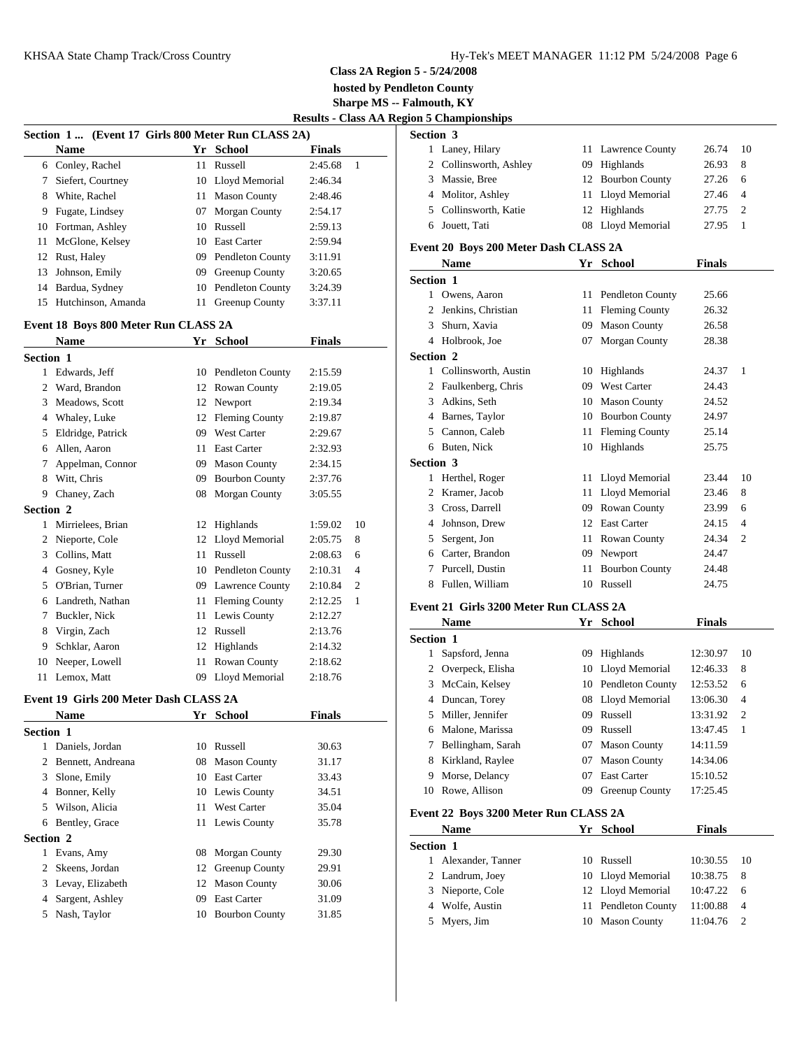**hosted by Pendleton County**

**Sharpe MS -- Falmouth, KY**

| <b>Results - Class AA Region 5 Championships</b> |  |  |
|--------------------------------------------------|--|--|
|                                                  |  |  |

|                  | Section 1 (Event 17 Girls 800 Meter Run CLASS 2A) |          |                                       |                    |                     | Section 3           |              |
|------------------|---------------------------------------------------|----------|---------------------------------------|--------------------|---------------------|---------------------|--------------|
|                  | <b>Name</b>                                       |          | Yr School                             | <b>Finals</b>      |                     | 1                   | Laney        |
|                  | 6 Conley, Rachel                                  |          | 11 Russell                            | 2:45.68            | $\mathbf{1}$        | $\overline{c}$      | Collir       |
| $7\phantom{.0}$  | Siefert, Courtney                                 |          | 10 Lloyd Memorial                     | 2:46.34            |                     | 3                   | Massi        |
|                  | 8 White, Rachel                                   | 11       | <b>Mason County</b>                   | 2:48.46            |                     | 4                   | Molit        |
|                  | 9 Fugate, Lindsey                                 | 07       | Morgan County                         | 2:54.17            |                     | 5                   | Collir       |
|                  | 10 Fortman, Ashley                                |          | 10 Russell                            | 2:59.13            |                     | 6                   | Jouett       |
| 11               | McGlone, Kelsey                                   |          | 10 East Carter                        | 2:59.94            |                     | Event 20 B          |              |
|                  | 12 Rust, Haley                                    | 09       | Pendleton County                      | 3:11.91            |                     |                     | Nam          |
| 13               | Johnson, Emily                                    |          | 09 Greenup County                     | 3:20.65            |                     | Section 1           |              |
|                  | 14 Bardua, Sydney                                 |          | 10 Pendleton County                   | 3:24.39            |                     |                     | Owen         |
|                  | 15 Hutchinson, Amanda                             |          | 11 Greenup County                     | 3:37.11            |                     | 1<br>$\overline{c}$ | Jenkii       |
|                  |                                                   |          |                                       |                    |                     | 3                   | Shurn        |
|                  | Event 18 Boys 800 Meter Run CLASS 2A              |          | Yr School                             | <b>Finals</b>      |                     | 4                   | Holbr        |
|                  | <b>Name</b>                                       |          |                                       |                    |                     | Section 2           |              |
| <b>Section 1</b> |                                                   |          |                                       |                    |                     |                     | 1 Collir     |
|                  | 1 Edwards, Jeff                                   |          | 10 Pendleton County                   | 2:15.59            |                     | 2                   | Faulk        |
| 2                | Ward, Brandon                                     |          | 12 Rowan County                       | 2:19.05            |                     | 3                   | Adkir        |
| 3                | Meadows, Scott                                    |          | 12 Newport                            | 2:19.34            |                     | 4                   | Barne        |
|                  | 4 Whaley, Luke                                    |          | 12 Fleming County                     | 2:19.87            |                     | 5                   | Canno        |
| 5                | Eldridge, Patrick                                 | 09       | <b>West Carter</b>                    | 2:29.67            |                     | 6                   | <b>Buten</b> |
| 6                | Allen, Aaron                                      | 11       | <b>East Carter</b>                    | 2:32.93            |                     | Section 3           |              |
| 7                | Appelman, Connor                                  | 09       | <b>Mason County</b>                   | 2:34.15            |                     | 1                   | Herth        |
| 8                | Witt, Chris                                       |          | 09 Bourbon County                     | 2:37.76            |                     | $\mathfrak{D}$      | Kram         |
|                  | 9 Chaney, Zach                                    |          | 08 Morgan County                      | 3:05.55            |                     | 3                   | Cross        |
| <b>Section 2</b> |                                                   |          |                                       |                    |                     | 4                   | Johns        |
| 1                | Mirrielees, Brian                                 |          | 12 Highlands                          | 1:59.02            | 10                  | 5                   | Serge        |
| 2                | Nieporte, Cole<br>Collins, Matt                   | 12       | Lloyd Memorial<br>Russell             | 2:05.75            | 8                   | 6                   | Carter       |
| 3<br>4           |                                                   | 11       | 10 Pendleton County                   | 2:08.63<br>2:10.31 | 6<br>$\overline{4}$ | 7                   | Purce        |
| 5                | Gosney, Kyle<br>O'Brian, Turner                   |          |                                       |                    |                     | 8                   | Fuller       |
|                  | Landreth, Nathan                                  |          | 09 Lawrence County                    | 2:10.84            | 2<br>1              |                     |              |
| 6<br>7           | Buckler, Nick                                     | 11<br>11 | <b>Fleming County</b><br>Lewis County | 2:12.25<br>2:12.27 |                     | Event 21 G          |              |
|                  | Virgin, Zach                                      | 12       | Russell                               | 2:13.76            |                     |                     | <b>Nam</b>   |
| 8                | Schklar, Aaron                                    |          |                                       |                    |                     | Section 1           |              |
| 9.<br>10         | Neeper, Lowell                                    | 12<br>11 | Highlands<br>Rowan County             | 2:14.32<br>2:18.62 |                     | 1                   | Sapsf        |
|                  | 11 Lemox, Matt                                    |          | 09 Lloyd Memorial                     | 2:18.76            |                     | 2                   | Overp        |
|                  |                                                   |          |                                       |                    |                     |                     | 3 McCa       |

# **Event 19 Girls 200 Meter Dash CLASS 2A**

|                  | <b>Name</b>         | Yr  | <b>School</b>         | <b>Finals</b> | 5               |
|------------------|---------------------|-----|-----------------------|---------------|-----------------|
| <b>Section 1</b> |                     |     |                       |               | 6               |
|                  | Daniels, Jordan     |     | 10 Russell            | 30.63         | 7               |
|                  | 2 Bennett, Andreana |     | 08 Mason County       | 31.17         | 8               |
| 3                | Slone, Emily        |     | 10 East Carter        | 33.43         | 9               |
| 4                | Bonner, Kelly       |     | 10 Lewis County       | 34.51         | 10 <sup>7</sup> |
| 5                | Wilson, Alicia      | 11. | West Carter           | 35.04         | Event           |
| 6                | Bentley, Grace      |     | 11 Lewis County       | 35.78         |                 |
| <b>Section 2</b> |                     |     |                       |               |                 |
|                  | Evans, Amy          |     | 08 Morgan County      | 29.30         | <b>Section</b>  |
|                  | 2 Skeens, Jordan    |     | 12 Greenup County     | 29.91         |                 |
|                  | 3 Levay, Elizabeth  |     | 12 Mason County       | 30.06         | 2               |
|                  | Sargent, Ashley     | 09  | <b>East Carter</b>    | 31.09         | 3               |
| 5.               | Nash, Taylor        | 10  | <b>Bourbon County</b> | 31.85         | 4               |
|                  |                     |     |                       |               | 5               |

| <b>Section 3</b>       |                    |         |                |
|------------------------|--------------------|---------|----------------|
| 1 Laney, Hilary        | 11 Lawrence County | 26.74   | - 10           |
| 2 Collinsworth, Ashley | 09 Highlands       | 26.93   | - 8            |
| 3 Massie, Bree         | 12 Bourbon County  | 27.26   | - 6            |
| 4 Molitor, Ashley      | 11 Lloyd Memorial  | 27.46 4 |                |
| 5 Collinsworth, Katie  | 12 Highlands       | 27.75   | $\overline{2}$ |
| 6 Jouett, Tati         | 08 Lloyd Memorial  | 27.95   |                |

#### **Event 20 Boys 200 Meter Dash CLASS 2A**

|   | <b>Name</b>                            |    | Yr School               | <b>Finals</b> |                |
|---|----------------------------------------|----|-------------------------|---------------|----------------|
|   | <b>Section 1</b>                       |    |                         |               |                |
| 1 | Owens, Aaron                           | 11 | <b>Pendleton County</b> | 25.66         |                |
| 2 | Jenkins, Christian                     | 11 | <b>Fleming County</b>   | 26.32         |                |
| 3 | Shurn, Xavia                           | 09 | <b>Mason County</b>     | 26.58         |                |
| 4 | Holbrook, Joe                          | 07 | <b>Morgan County</b>    | 28.38         |                |
|   | <b>Section 2</b>                       |    |                         |               |                |
|   | 1 Collinsworth, Austin                 | 10 | Highlands               | 24.37         | 1              |
| 2 | Faulkenberg, Chris                     | 09 | <b>West Carter</b>      | 24.43         |                |
| 3 | Adkins, Seth                           | 10 | <b>Mason County</b>     | 24.52         |                |
| 4 | Barnes, Taylor                         | 10 | <b>Bourbon County</b>   | 24.97         |                |
| 5 | Cannon, Caleb                          | 11 | <b>Fleming County</b>   | 25.14         |                |
| 6 | Buten, Nick                            | 10 | Highlands               | 25.75         |                |
|   | <b>Section 3</b>                       |    |                         |               |                |
|   | Herthel, Roger                         | 11 | Lloyd Memorial          | 23.44         | 10             |
| 2 | Kramer, Jacob                          | 11 | Lloyd Memorial          | 23.46         | 8              |
| 3 | Cross, Darrell                         | 09 | Rowan County            | 23.99         | 6              |
| 4 | Johnson, Drew                          | 12 | <b>East Carter</b>      | 24.15         | $\overline{4}$ |
| 5 | Sergent, Jon                           | 11 | Rowan County            | 24.34         | $\overline{2}$ |
| 6 | Carter, Brandon                        | 09 | Newport                 | 24.47         |                |
| 7 | Purcell, Dustin                        | 11 | <b>Bourbon County</b>   | 24.48         |                |
| 8 | Fullen, William                        | 10 | Russell                 | 24.75         |                |
|   | Event 21 Girls 3200 Meter Run CLASS 2A |    |                         |               |                |
|   | <b>Name</b>                            |    | Yr School               | <b>Finals</b> |                |
|   | <b>Section 1</b>                       |    |                         |               |                |
| 1 | Sapsford, Jenna                        | 09 | Highlands               | 12:30.97      | 10             |
| 2 | Overpeck, Elisha                       | 10 | Lloyd Memorial          | 12:46.33      | 8              |
| 3 | McCain, Kelsey                         | 10 | <b>Pendleton County</b> | 12:53.52      | 6              |

|                  | <b>Name</b>         | Yr School           | <b>Finals</b> |      |
|------------------|---------------------|---------------------|---------------|------|
| <b>Section 1</b> |                     |                     |               |      |
|                  | 1 Alexander, Tanner | 10 Russell          | 10:30.55      | - 10 |
|                  | 2 Landrum, Joey     | 10 Lloyd Memorial   | 10:38.75 8    |      |
|                  | 3 Nieporte, Cole    | 12 Lloyd Memorial   | $10:47.22$ 6  |      |
|                  | 4 Wolfe, Austin     | 11 Pendleton County | 11:00.88 4    |      |
|                  | 5 Myers, Jim        | 10 Mason County     | 11:04.76      |      |

**Event 22 Boys 3200 Meter Run CLASS 2A**

 Duncan, Torey 08 Lloyd Memorial 13:06.30 4 Miller, Jennifer 09 Russell 13:31.92 2 Malone, Marissa 09 Russell 13:47.45 1 Bellingham, Sarah 07 Mason County 14:11.59 Kirkland, Raylee 07 Mason County 14:34.06 Morse, Delancy 07 East Carter 15:10.52 Rowe, Allison 09 Greenup County 17:25.45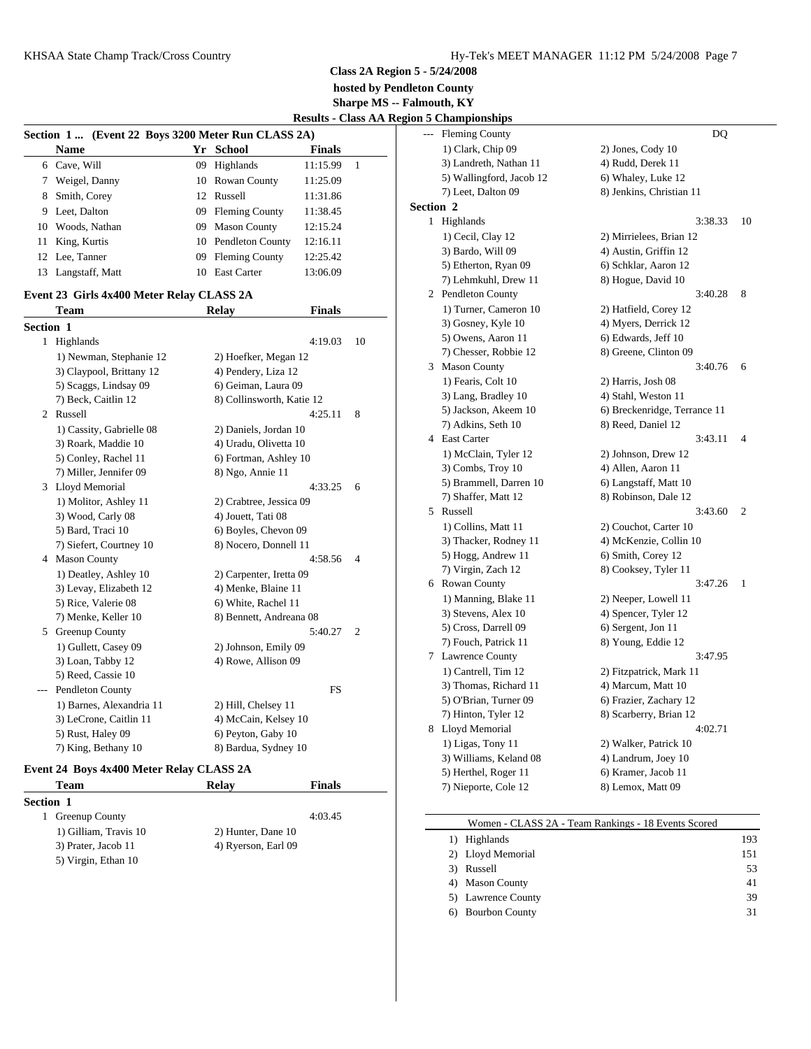**hosted by Pendleton County**

**Sharpe MS -- Falmouth, KY**

**Results - Class AA Region** 

|                                                   |                    |    |                     |               |  | Results - Class AA Region 5 Chan |
|---------------------------------------------------|--------------------|----|---------------------|---------------|--|----------------------------------|
| Section 1 (Event 22 Boys 3200 Meter Run CLASS 2A) |                    |    |                     |               |  | --- Flen                         |
|                                                   | <b>Name</b>        |    | Yr School           | <b>Finals</b> |  | $1)$ C                           |
|                                                   | 6 Cave, Will       | 09 | Highlands           | 11:15.99      |  | $3)$ L                           |
|                                                   | 7 Weigel, Danny    |    | 10 Rowan County     | 11:25.09      |  | 5) W                             |
|                                                   | 8 Smith, Corey     |    | 12 Russell          | 11:31.86      |  | 7) L                             |
|                                                   | 9 Leet, Dalton     |    | 09 Fleming County   | 11:38.45      |  | Section 2                        |
|                                                   | 10 Woods, Nathan   |    | 09 Mason County     | 12:15.24      |  | High                             |
|                                                   | 11 King, Kurtis    |    | 10 Pendleton County | 12:16.11      |  | $1)$ C                           |
|                                                   | 12 Lee, Tanner     |    | 09 Fleming County   | 12:25.42      |  | $3)$ B                           |
|                                                   | 13 Langstaff, Matt | 10 | <b>East Carter</b>  | 13:06.09      |  | $5)$ E<br>$7\lambda$ I.          |
|                                                   |                    |    |                     |               |  |                                  |

# **Event 23 Girls 4x400 Meter Relay CLASS 2A**

|                                                                                                                           | Team                     | <b>Relay</b>              | <b>Finals</b> |                |   | 1) Tu          |
|---------------------------------------------------------------------------------------------------------------------------|--------------------------|---------------------------|---------------|----------------|---|----------------|
| Section 1                                                                                                                 |                          |                           |               |                |   | $3)$ Go        |
|                                                                                                                           | 1 Highlands              |                           | 4:19.03       | 10             |   | $5)$ Ow        |
|                                                                                                                           | 1) Newman, Stephanie 12  | 2) Hoefker, Megan 12      |               |                |   | 7) Ch          |
|                                                                                                                           | 3) Claypool, Brittany 12 | 4) Pendery, Liza 12       |               |                | 3 | Maso           |
|                                                                                                                           | 5) Scaggs, Lindsay 09    | 6) Geiman, Laura 09       |               |                |   | $1)$ Fe:       |
|                                                                                                                           | 7) Beck, Caitlin 12      | 8) Collinsworth, Katie 12 |               |                |   | $3)$ Lar       |
|                                                                                                                           | 2 Russell                |                           | 4:25.11       | 8              |   | 5) Jac         |
|                                                                                                                           | 1) Cassity, Gabrielle 08 | 2) Daniels, Jordan 10     |               |                |   | 7) Ad          |
|                                                                                                                           | 3) Roark, Maddie 10      | 4) Uradu, Olivetta 10     |               |                |   | 4 East O       |
|                                                                                                                           | 5) Conley, Rachel 11     | 6) Fortman, Ashley 10     |               |                |   | $1)$ M         |
|                                                                                                                           | 7) Miller, Jennifer 09   | 8) Ngo, Annie 11          |               |                |   | $3)$ Co        |
|                                                                                                                           | 3 Lloyd Memorial         |                           | 4:33.25       | 6              |   | $5)$ Bra       |
|                                                                                                                           | 1) Molitor, Ashley 11    | 2) Crabtree, Jessica 09   |               |                |   | 7) Sha         |
|                                                                                                                           | 3) Wood, Carly 08        | 4) Jouett, Tati 08        |               |                | 5 | Russe          |
|                                                                                                                           | 5) Bard, Traci 10        | 6) Boyles, Chevon 09      |               |                |   | $1)$ Co        |
|                                                                                                                           | 7) Siefert, Courtney 10  | 8) Nocero, Donnell 11     |               |                |   | $3)$ Th        |
|                                                                                                                           | 4 Mason County           |                           | 4:58.56       | $\overline{4}$ |   | 5) Ho          |
|                                                                                                                           | 1) Deatley, Ashley 10    | 2) Carpenter, Iretta 09   |               |                |   | 7) Vii         |
|                                                                                                                           | 3) Levay, Elizabeth 12   | 4) Menke, Blaine 11       |               |                |   | 6 Rowa         |
|                                                                                                                           | 5) Rice, Valerie 08      | 6) White, Rachel 11       |               |                |   | $1)$ Ma        |
|                                                                                                                           | 7) Menke, Keller 10      | 8) Bennett, Andreana 08   |               |                |   | $3)$ Ste       |
|                                                                                                                           | 5 Greenup County         |                           | 5:40.27       | $\overline{2}$ |   | $5)$ Cro       |
|                                                                                                                           | 1) Gullett, Casey 09     | 2) Johnson, Emily 09      |               |                |   | 7) For         |
|                                                                                                                           | 3) Loan, Tabby 12        | 4) Rowe, Allison 09       |               |                | 7 | Lawre          |
|                                                                                                                           | 5) Reed, Cassie 10       |                           |               |                |   | $1)$ Ca        |
| $\frac{1}{2} \left( \frac{1}{2} \right) \left( \frac{1}{2} \right) \left( \frac{1}{2} \right) \left( \frac{1}{2} \right)$ | Pendleton County         |                           | FS            |                |   | $3)$ Th        |
|                                                                                                                           | 1) Barnes, Alexandria 11 | 2) Hill, Chelsey 11       |               |                |   | 5) O'I         |
|                                                                                                                           | 3) LeCrone, Caitlin 11   | 4) McCain, Kelsey 10      |               |                |   | $7)$ Hii       |
|                                                                                                                           | 5) Rust, Haley 09        | 6) Peyton, Gaby 10        |               |                | 8 | Lloyd          |
|                                                                                                                           | 7) King, Bethany 10      | 8) Bardua, Sydney 10      |               |                |   | 1) Lig         |
|                                                                                                                           |                          |                           |               |                |   | $2\lambda$ W/: |

# **Event 24 Boys 4x400 Meter Relay CLASS 2A**

| Team                  | <b>Relav</b>        | <b>Finals</b> |  |
|-----------------------|---------------------|---------------|--|
| <b>Section 1</b>      |                     |               |  |
| 1 Greenup County      |                     | 4:03.45       |  |
| 1) Gilliam, Travis 10 | 2) Hunter, Dane 10  |               |  |
| 3) Prater, Jacob 11   | 4) Ryerson, Earl 09 |               |  |
| 5) Virgin, Ethan 10   |                     |               |  |
|                       |                     |               |  |

|                  | <u>on 5 Championships</u> |                              |              |
|------------------|---------------------------|------------------------------|--------------|
|                  | --- Fleming County        | DQ                           |              |
|                  | 1) Clark, Chip 09         | 2) Jones, Cody 10            |              |
|                  | 3) Landreth, Nathan 11    | 4) Rudd, Derek 11            |              |
|                  | 5) Wallingford, Jacob 12  | 6) Whaley, Luke 12           |              |
|                  | 7) Leet, Dalton 09        | 8) Jenkins, Christian 11     |              |
| <b>Section 2</b> |                           |                              |              |
|                  | 1 Highlands               | 3:38.33                      | 10           |
|                  | 1) Cecil, Clay 12         | 2) Mirrielees, Brian 12      |              |
|                  | 3) Bardo, Will 09         | 4) Austin, Griffin 12        |              |
|                  | 5) Etherton, Ryan 09      | 6) Schklar, Aaron 12         |              |
|                  | 7) Lehmkuhl, Drew 11      | 8) Hogue, David 10           |              |
|                  | 2 Pendleton County        | 3:40.28                      | 8            |
|                  | 1) Turner, Cameron 10     | 2) Hatfield, Corey 12        |              |
|                  | 3) Gosney, Kyle 10        | 4) Myers, Derrick 12         |              |
|                  | 5) Owens, Aaron 11        | 6) Edwards, Jeff 10          |              |
|                  | 7) Chesser, Robbie 12     | 8) Greene, Clinton 09        |              |
|                  | 3 Mason County            | 3:40.76                      | 6            |
|                  | 1) Fearis, Colt 10        | 2) Harris, Josh 08           |              |
|                  | 3) Lang, Bradley 10       | 4) Stahl, Weston 11          |              |
|                  | 5) Jackson, Akeem 10      | 6) Breckenridge, Terrance 11 |              |
|                  | 7) Adkins, Seth 10        | 8) Reed, Daniel 12           |              |
|                  | 4 East Carter             | 3:43.11                      | 4            |
|                  | 1) McClain, Tyler 12      | 2) Johnson, Drew 12          |              |
|                  | 3) Combs, Troy 10         | 4) Allen, Aaron 11           |              |
|                  | 5) Brammell, Darren 10    | 6) Langstaff, Matt 10        |              |
|                  | 7) Shaffer, Matt 12       | 8) Robinson, Dale 12         |              |
|                  | 5 Russell                 | 3:43.60                      | 2            |
|                  | 1) Collins, Matt 11       | 2) Couchot, Carter 10        |              |
|                  | 3) Thacker, Rodney 11     | 4) McKenzie, Collin 10       |              |
|                  | 5) Hogg, Andrew 11        | 6) Smith, Corey 12           |              |
|                  | 7) Virgin, Zach 12        | 8) Cooksey, Tyler 11         |              |
|                  | 6 Rowan County            | 3:47.26                      | $\mathbf{1}$ |
|                  | 1) Manning, Blake 11      | 2) Neeper, Lowell 11         |              |
|                  | 3) Stevens, Alex 10       | 4) Spencer, Tyler 12         |              |
|                  | 5) Cross, Darrell 09      | 6) Sergent, Jon 11           |              |
|                  | 7) Fouch, Patrick 11      | 8) Young, Eddie 12           |              |
|                  | 7 Lawrence County         | 3:47.95                      |              |
|                  | 1) Cantrell, Tim 12       | 2) Fitzpatrick, Mark 11      |              |
|                  | 3) Thomas, Richard 11     | 4) Marcum, Matt 10           |              |
|                  | 5) O'Brian, Turner 09     | 6) Frazier, Zachary 12       |              |
|                  | 7) Hinton, Tyler 12       | 8) Scarberry, Brian 12       |              |
|                  | 8 Lloyd Memorial          | 4:02.71                      |              |
|                  | 1) Ligas, Tony 11         | 2) Walker, Patrick 10        |              |
|                  | 3) Williams, Keland 08    | 4) Landrum, Joey 10          |              |
|                  | 5) Herthel, Roger 11      | 6) Kramer, Jacob 11          |              |
|                  | 7) Nieporte, Cole 12      | 8) Lemox, Matt 09            |              |
|                  |                           |                              |              |

| Women - CLASS 2A - Team Rankings - 18 Events Scored |                    |     |  |  |  |
|-----------------------------------------------------|--------------------|-----|--|--|--|
| 1)                                                  | Highlands          | 193 |  |  |  |
|                                                     | 2) Lloyd Memorial  | 151 |  |  |  |
| 3)                                                  | Russell            | 53  |  |  |  |
|                                                     | 4) Mason County    | 41  |  |  |  |
|                                                     | 5) Lawrence County | 39  |  |  |  |
|                                                     |                    |     |  |  |  |

6) Bourbon County 31